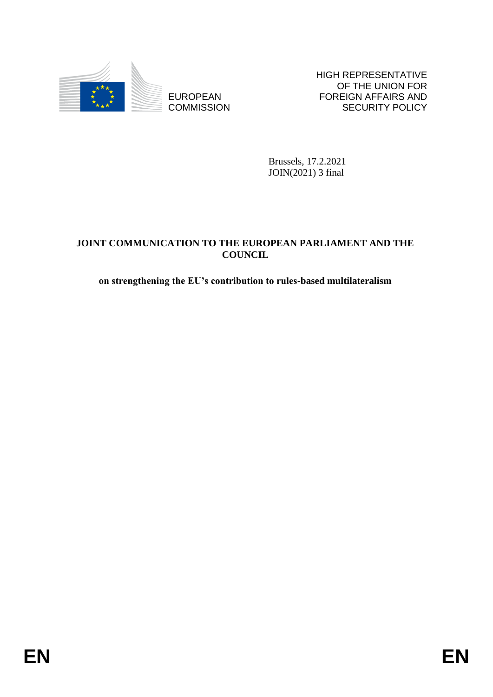

**COMMISSION** 

HIGH REPRESENTATIVE OF THE UNION FOR FOREIGN AFFAIRS AND SECURITY POLICY

Brussels, 17.2.2021 JOIN(2021) 3 final

# EUROPEAN<br>
EUROPEAN<br>
ENGINEER COMMISSION<br>
BROKEL (17.2.2021<br> *ENGINEER COMMISSION*<br>
BROKEL (2.2.2021<br> *ENGINEER PORTER COUNCIL*<br>
COUNCIL<br> **ENGINEER PORTER COUNCIL**<br> **ENGINEER PORTER COUNCIL**<br> **ENGINEER PORTER PORTER PORTER JOINT COMMUNICATION TO THE EUROPEAN PARLIAMENT AND THE COUNCIL**

# **on strengthening the EU's contribution to rules-based multilateralism**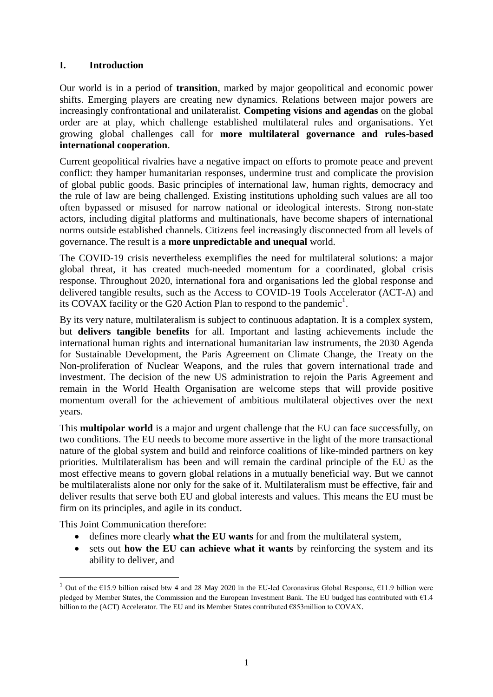# **I. Introduction**

Our world is in a period of **transition**, marked by major geopolitical and economic power shifts. Emerging players are creating new dynamics. Relations between major powers are increasingly confrontational and unilateralist. **Competing visions and agendas** on the global order are at play, which challenge established multilateral rules and organisations. Yet growing global challenges call for **more multilateral governance and rules-based international cooperation**.

Current geopolitical rivalries have a negative impact on efforts to promote peace and prevent conflict: they hamper humanitarian responses, undermine trust and complicate the provision of global public goods. Basic principles of international law, human rights, democracy and the rule of law are being challenged. Existing institutions upholding such values are all too often bypassed or misused for narrow national or ideological interests. Strong non-state actors, including digital platforms and multinationals, have become shapers of international norms outside established channels. Citizens feel increasingly disconnected from all levels of governance. The result is a **more unpredictable and unequal** world.

The COVID-19 crisis nevertheless exemplifies the need for multilateral solutions: a major global threat, it has created much-needed momentum for a coordinated, global crisis response. Throughout 2020, international fora and organisations led the global response and delivered tangible results, such as the Access to COVID-19 Tools Accelerator (ACT-A) and its COVAX facility or the G20 Action Plan to respond to the pandemic<sup>1</sup>.

By its very nature, multilateralism is subject to continuous adaptation. It is a complex system, but **delivers tangible benefits** for all. Important and lasting achievements include the international human rights and international humanitarian law instruments, the 2030 Agenda for Sustainable Development, the Paris Agreement on Climate Change, the Treaty on the Non-proliferation of Nuclear Weapons, and the rules that govern international trade and investment. The decision of the new US administration to rejoin the Paris Agreement and remain in the World Health Organisation are welcome steps that will provide positive momentum overall for the achievement of ambitious multilateral objectives over the next years.

This **multipolar world** is a major and urgent challenge that the EU can face successfully, on two conditions. The EU needs to become more assertive in the light of the more transactional nature of the global system and build and reinforce coalitions of like-minded partners on key priorities. Multilateralism has been and will remain the cardinal principle of the EU as the most effective means to govern global relations in a mutually beneficial way. But we cannot be multilateralists alone nor only for the sake of it. Multilateralism must be effective, fair and deliver results that serve both EU and global interests and values. This means the EU must be firm on its principles, and agile in its conduct.

This Joint Communication therefore:

- defines more clearly **what the EU wants** for and from the multilateral system,
- sets out **how the EU can achieve what it wants** by reinforcing the system and its ability to deliver, and

<sup>&</sup>lt;sup>1</sup> Out of the €15.9 billion raised btw 4 and 28 May 2020 in the EU-led Coronavirus Global Response, €11.9 billion were pledged by Member States, the Commission and the European Investment Bank. The EU budged has contributed with €1.4 billion to the (ACT) Accelerator. The EU and its Member States contributed €853million to COVAX.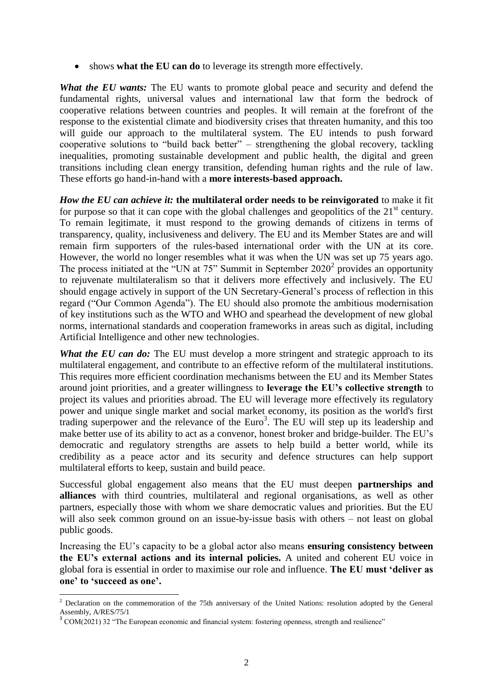shows **what the EU can do** to leverage its strength more effectively.

*What the EU wants:* The EU wants to promote global peace and security and defend the fundamental rights, universal values and international law that form the bedrock of cooperative relations between countries and peoples. It will remain at the forefront of the response to the existential climate and biodiversity crises that threaten humanity, and this too will guide our approach to the multilateral system. The EU intends to push forward cooperative solutions to "build back better" – strengthening the global recovery, tackling inequalities, promoting sustainable development and public health, the digital and green transitions including clean energy transition, defending human rights and the rule of law. These efforts go hand-in-hand with a **more interests-based approach.**

*How the EU can achieve it:* **the multilateral order needs to be reinvigorated** to make it fit for purpose so that it can cope with the global challenges and geopolitics of the  $21<sup>st</sup>$  century. To remain legitimate, it must respond to the growing demands of citizens in terms of transparency, quality, inclusiveness and delivery. The EU and its Member States are and will remain firm supporters of the rules-based international order with the UN at its core. However, the world no longer resembles what it was when the UN was set up 75 years ago. The process initiated at the "UN at  $75$ " Summit in September  $2020<sup>2</sup>$  provides an opportunity to rejuvenate multilateralism so that it delivers more effectively and inclusively. The EU should engage actively in support of the UN Secretary-General's process of reflection in this regard ("Our Common Agenda"). The EU should also promote the ambitious modernisation of key institutions such as the WTO and WHO and spearhead the development of new global norms, international standards and cooperation frameworks in areas such as digital, including Artificial Intelligence and other new technologies.

*What the EU can do:* The EU must develop a more stringent and strategic approach to its multilateral engagement, and contribute to an effective reform of the multilateral institutions. This requires more efficient coordination mechanisms between the EU and its Member States around joint priorities, and a greater willingness to **leverage the EU's collective strength** to project its values and priorities abroad. The EU will leverage more effectively its regulatory power and unique single market and social market economy, its position as the world's first trading superpower and the relevance of the  $Euro<sup>3</sup>$ . The EU will step up its leadership and make better use of its ability to act as a convenor, honest broker and bridge-builder. The EU's democratic and regulatory strengths are assets to help build a better world, while its credibility as a peace actor and its security and defence structures can help support multilateral efforts to keep, sustain and build peace.

Successful global engagement also means that the EU must deepen **partnerships and alliances** with third countries, multilateral and regional organisations, as well as other partners, especially those with whom we share democratic values and priorities. But the EU will also seek common ground on an issue-by-issue basis with others – not least on global public goods.

Increasing the EU's capacity to be a global actor also means **ensuring consistency between the EU's external actions and its internal policies.** A united and coherent EU voice in global fora is essential in order to maximise our role and influence. **The EU must 'deliver as one' to 'succeed as one'.**

 $2$  Declaration on the commemoration of the 75th anniversary of the United Nations: resolution adopted by the General Assembly, A/RES/75/1

<sup>&</sup>lt;sup>3</sup> COM(2021) 32 "The European economic and financial system: fostering openness, strength and resilience"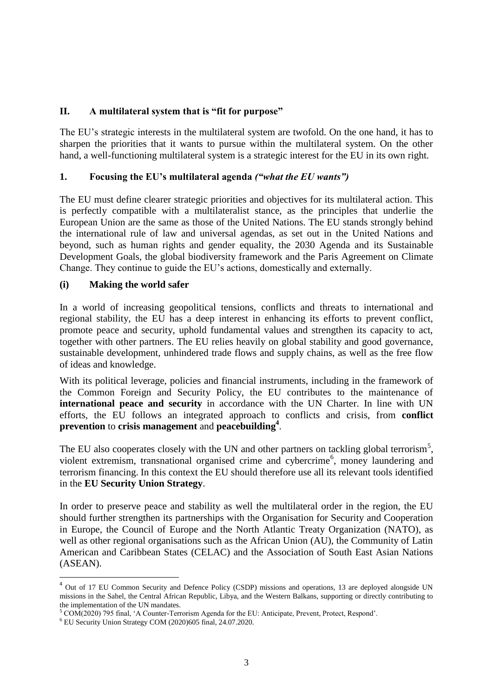# **II. A multilateral system that is "fit for purpose"**

The EU's strategic interests in the multilateral system are twofold. On the one hand, it has to sharpen the priorities that it wants to pursue within the multilateral system. On the other hand, a well-functioning multilateral system is a strategic interest for the EU in its own right.

#### **1. Focusing the EU's multilateral agenda** *("what the EU wants")*

The EU must define clearer strategic priorities and objectives for its multilateral action. This is perfectly compatible with a multilateralist stance, as the principles that underlie the European Union are the same as those of the United Nations. The EU stands strongly behind the international rule of law and universal agendas, as set out in the United Nations and beyond, such as human rights and gender equality, the 2030 Agenda and its Sustainable Development Goals, the global biodiversity framework and the Paris Agreement on Climate Change. They continue to guide the EU's actions, domestically and externally.

#### **(i) Making the world safer**

In a world of increasing geopolitical tensions, conflicts and threats to international and regional stability, the EU has a deep interest in enhancing its efforts to prevent conflict, promote peace and security, uphold fundamental values and strengthen its capacity to act, together with other partners. The EU relies heavily on global stability and good governance, sustainable development, unhindered trade flows and supply chains, as well as the free flow of ideas and knowledge.

With its political leverage, policies and financial instruments, including in the framework of the Common Foreign and Security Policy, the EU contributes to the maintenance of **international peace and security** in accordance with the UN Charter. In line with UN efforts, the EU follows an integrated approach to conflicts and crisis, from **conflict prevention** to **crisis management** and **peacebuilding<sup>4</sup>** .

The EU also cooperates closely with the UN and other partners on tackling global terrorism<sup>5</sup>, violent extremism, transnational organised crime and cybercrime<sup>6</sup>, money laundering and terrorism financing. In this context the EU should therefore use all its relevant tools identified in the **EU Security Union Strategy**.

In order to preserve peace and stability as well the multilateral order in the region, the EU should further strengthen its partnerships with the Organisation for Security and Cooperation in Europe, the Council of Europe and the North Atlantic Treaty Organization (NATO), as well as other regional organisations such as the African Union (AU), the Community of Latin American and Caribbean States (CELAC) and the Association of South East Asian Nations (ASEAN).

 $\overline{\phantom{a}}$ 

<sup>&</sup>lt;sup>4</sup> Out of 17 EU Common Security and Defence Policy (CSDP) missions and operations, 13 are deployed alongside UN missions in the Sahel, the Central African Republic, Libya, and the Western Balkans, supporting or directly contributing to the implementation of the UN mandates.

 $5$  COM(2020) 795 final, 'A Counter-Terrorism Agenda for the EU: Anticipate, Prevent, Protect, Respond'.

<sup>6</sup> EU Security Union Strategy COM (2020)605 final, 24.07.2020.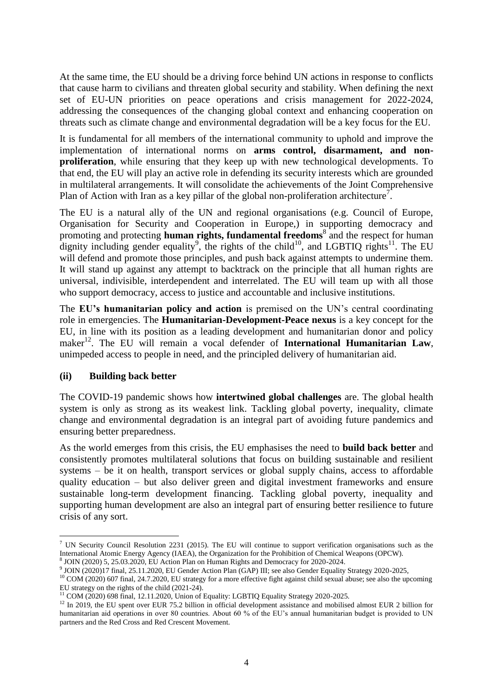At the same time, the EU should be a driving force behind UN actions in response to conflicts that cause harm to civilians and threaten global security and stability. When defining the next set of EU-UN priorities on peace operations and crisis management for 2022-2024, addressing the consequences of the changing global context and enhancing cooperation on threats such as climate change and environmental degradation will be a key focus for the EU.

It is fundamental for all members of the international community to uphold and improve the implementation of international norms on **arms control, disarmament, and nonproliferation**, while ensuring that they keep up with new technological developments. To that end, the EU will play an active role in defending its security interests which are grounded in multilateral arrangements. It will consolidate the achievements of the Joint Comprehensive Plan of Action with Iran as a key pillar of the global non-proliferation architecture<sup>7</sup>.

The EU is a natural ally of the UN and regional organisations (e.g. Council of Europe, Organisation for Security and Cooperation in Europe,) in supporting democracy and promoting and protecting **human rights, fundamental freedoms**<sup>8</sup> and the respect for human dignity including gender equality<sup>9</sup>, the rights of the child<sup>10</sup>, and LGBTIQ rights<sup>11</sup>. The EU will defend and promote those principles, and push back against attempts to undermine them. It will stand up against any attempt to backtrack on the principle that all human rights are universal, indivisible, interdependent and interrelated. The EU will team up with all those who support democracy, access to justice and accountable and inclusive institutions.

The **EU's humanitarian policy and action** is premised on the UN's central coordinating role in emergencies. The **Humanitarian-Development-Peace nexus** is a key concept for the EU, in line with its position as a leading development and humanitarian donor and policy maker<sup>12</sup>. The EU will remain a vocal defender of **International Humanitarian Law**, unimpeded access to people in need, and the principled delivery of humanitarian aid.

#### **(ii) Building back better**

**.** 

The COVID-19 pandemic shows how **intertwined global challenges** are. The global health system is only as strong as its weakest link. Tackling global poverty, inequality, climate change and environmental degradation is an integral part of avoiding future pandemics and ensuring better preparedness.

As the world emerges from this crisis, the EU emphasises the need to **build back better** and consistently promotes multilateral solutions that focus on building sustainable and resilient systems – be it on health, transport services or global supply chains, access to affordable quality education – but also deliver green and digital investment frameworks and ensure sustainable long-term development financing. Tackling global poverty, inequality and supporting human development are also an integral part of ensuring better resilience to future crisis of any sort.

<sup>7</sup> UN Security Council Resolution 2231 (2015). The EU will continue to support verification organisations such as the International Atomic Energy Agency (IAEA), the Organization for the Prohibition of Chemical Weapons (OPCW).<br><sup>8</sup> IOIN (2020) 5, 25.03.2020, ELLA stine Plan on Human Bights and Damograpy for 2020, 2024. JOIN (2020) 5, 25.03.2020, EU Action Plan on Human Rights and Democracy for 2020-2024.

<sup>9</sup> JOIN (2020)17 final, 25.11.2020, EU Gender Action Plan (GAP) III; see also Gender Equality Strategy 2020-2025,

<sup>&</sup>lt;sup>10</sup> COM (2020) 607 final, 24.7.2020, EU strategy for a more effective fight against child sexual abuse; see also the upcoming EU strategy on the rights of the child (2021-24).

<sup>11</sup> COM (2020) 698 final, 12.11.2020, Union of Equality: LGBTIQ Equality Strategy 2020-2025.

<sup>&</sup>lt;sup>12</sup> In 2019, the EU spent over EUR 75.2 billion in official development assistance and mobilised almost EUR 2 billion for humanitarian aid operations in over 80 countries. About 60 % of the EU's annual humanitarian budget is provided to UN partners and the Red Cross and Red Crescent Movement.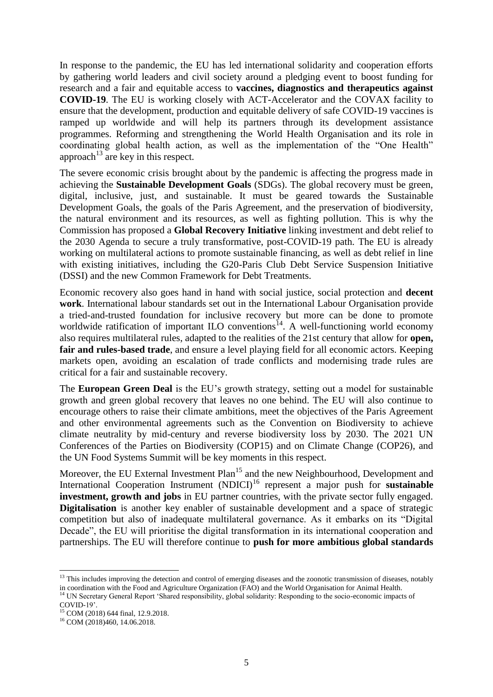In response to the pandemic, the EU has led international solidarity and cooperation efforts by gathering world leaders and civil society around a pledging event to boost funding for research and a fair and equitable access to **vaccines, diagnostics and therapeutics against COVID-19**. The EU is working closely with ACT-Accelerator and the COVAX facility to ensure that the development, production and equitable delivery of safe COVID-19 vaccines is ramped up worldwide and will help its partners through its development assistance programmes. Reforming and strengthening the World Health Organisation and its role in coordinating global health action, as well as the implementation of the "One Health" approach<sup>13</sup> are key in this respect.

The severe economic crisis brought about by the pandemic is affecting the progress made in achieving the **Sustainable Development Goals** (SDGs). The global recovery must be green, digital, inclusive, just, and sustainable. It must be geared towards the Sustainable Development Goals, the goals of the Paris Agreement, and the preservation of biodiversity, the natural environment and its resources, as well as fighting pollution. This is why the Commission has proposed a **Global Recovery Initiative** linking investment and debt relief to the 2030 Agenda to secure a truly transformative, post-COVID-19 path. The EU is already working on multilateral actions to promote sustainable financing, as well as debt relief in line with existing initiatives, including the G20-Paris Club Debt Service Suspension Initiative (DSSI) and the new Common Framework for Debt Treatments.

Economic recovery also goes hand in hand with social justice, social protection and **decent work**. International labour standards set out in the International Labour Organisation provide a tried-and-trusted foundation for inclusive recovery but more can be done to promote worldwide ratification of important ILO conventions<sup>14</sup>. A well-functioning world economy also requires multilateral rules, adapted to the realities of the 21st century that allow for **open, fair and rules-based trade**, and ensure a level playing field for all economic actors. Keeping markets open, avoiding an escalation of trade conflicts and modernising trade rules are critical for a fair and sustainable recovery.

The **European Green Deal** is the EU's growth strategy, setting out a model for sustainable growth and green global recovery that leaves no one behind. The EU will also continue to encourage others to raise their climate ambitions, meet the objectives of the Paris Agreement and other environmental agreements such as the Convention on Biodiversity to achieve climate neutrality by mid-century and reverse biodiversity loss by 2030. The 2021 UN Conferences of the Parties on Biodiversity (COP15) and on Climate Change (COP26), and the UN Food Systems Summit will be key moments in this respect.

Moreover, the EU External Investment Plan<sup>15</sup> and the new Neighbourhood, Development and International Cooperation Instrument (NDICI)<sup>16</sup> represent a major push for **sustainable investment, growth and jobs** in EU partner countries, with the private sector fully engaged. **Digitalisation** is another key enabler of sustainable development and a space of strategic competition but also of inadequate multilateral governance. As it embarks on its "Digital Decade", the EU will prioritise the digital transformation in its international cooperation and partnerships. The EU will therefore continue to **push for more ambitious global standards** 

<sup>&</sup>lt;sup>13</sup> This includes improving the detection and control of emerging diseases and the zoonotic transmission of diseases, notably in coordination with the Food and Agriculture Organization (FAO) and the World Organisation for Animal Health.

<sup>&</sup>lt;sup>14</sup> UN Secretary General Report 'Shared responsibility, global solidarity: Responding to the socio-economic impacts of COVID-19'.

<sup>15</sup> COM (2018) 644 final, 12.9.2018.

<sup>16</sup> COM (2018)460, 14.06.2018.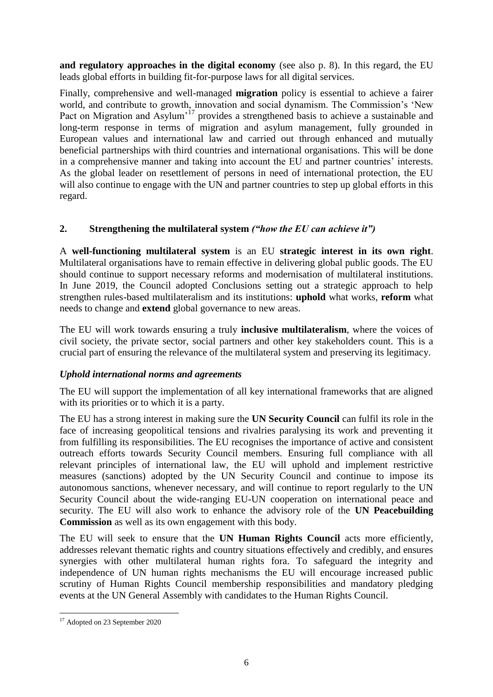**and regulatory approaches in the digital economy** (see also p. 8). In this regard, the EU leads global efforts in building fit-for-purpose laws for all digital services.

Finally, comprehensive and well-managed **migration** policy is essential to achieve a fairer world, and contribute to growth, innovation and social dynamism. The Commission's 'New Pact on Migration and Asylum<sup>'17</sup> provides a strengthened basis to achieve a sustainable and long-term response in terms of migration and asylum management, fully grounded in European values and international law and carried out through enhanced and mutually beneficial partnerships with third countries and international organisations. This will be done in a comprehensive manner and taking into account the EU and partner countries' interests. As the global leader on resettlement of persons in need of international protection, the EU will also continue to engage with the UN and partner countries to step up global efforts in this regard.

# **2. Strengthening the multilateral system** *("how the EU can achieve it")*

A **well-functioning multilateral system** is an EU **strategic interest in its own right**. Multilateral organisations have to remain effective in delivering global public goods. The EU should continue to support necessary reforms and modernisation of multilateral institutions. In June 2019, the Council adopted Conclusions setting out a strategic approach to help strengthen rules-based multilateralism and its institutions: **uphold** what works, **reform** what needs to change and **extend** global governance to new areas.

The EU will work towards ensuring a truly **inclusive multilateralism**, where the voices of civil society, the private sector, social partners and other key stakeholders count. This is a crucial part of ensuring the relevance of the multilateral system and preserving its legitimacy.

# *Uphold international norms and agreements*

The EU will support the implementation of all key international frameworks that are aligned with its priorities or to which it is a party.

The EU has a strong interest in making sure the **UN Security Council** can fulfil its role in the face of increasing geopolitical tensions and rivalries paralysing its work and preventing it from fulfilling its responsibilities. The EU recognises the importance of active and consistent outreach efforts towards Security Council members. Ensuring full compliance with all relevant principles of international law, the EU will uphold and implement restrictive measures (sanctions) adopted by the UN Security Council and continue to impose its autonomous sanctions, whenever necessary, and will continue to report regularly to the UN Security Council about the wide-ranging EU-UN cooperation on international peace and security. The EU will also work to enhance the advisory role of the **UN Peacebuilding Commission** as well as its own engagement with this body.

The EU will seek to ensure that the **UN Human Rights Council** acts more efficiently, addresses relevant thematic rights and country situations effectively and credibly, and ensures synergies with other multilateral human rights fora. To safeguard the integrity and independence of UN human rights mechanisms the EU will encourage increased public scrutiny of Human Rights Council membership responsibilities and mandatory pledging events at the UN General Assembly with candidates to the Human Rights Council.

**<sup>.</sup>** <sup>17</sup> Adopted on 23 September 2020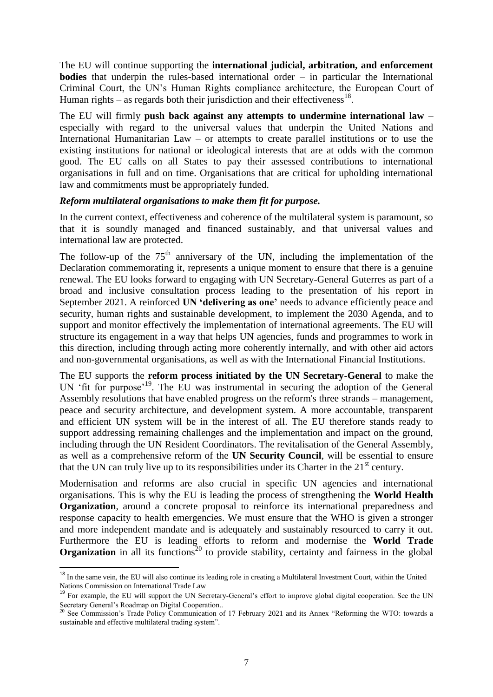The EU will continue supporting the **international judicial, arbitration, and enforcement bodies** that underpin the rules-based international order – in particular the International Criminal Court, the UN's Human Rights compliance architecture, the European Court of Human rights  $-$  as regards both their jurisdiction and their effectiveness<sup>18</sup>.

The EU will firmly **push back against any attempts to undermine international law** – especially with regard to the universal values that underpin the United Nations and International Humanitarian Law – or attempts to create parallel institutions or to use the existing institutions for national or ideological interests that are at odds with the common good. The EU calls on all States to pay their assessed contributions to international organisations in full and on time. Organisations that are critical for upholding international law and commitments must be appropriately funded.

#### *Reform multilateral organisations to make them fit for purpose.*

In the current context, effectiveness and coherence of the multilateral system is paramount, so that it is soundly managed and financed sustainably, and that universal values and international law are protected.

The follow-up of the  $75<sup>th</sup>$  anniversary of the UN, including the implementation of the Declaration commemorating it, represents a unique moment to ensure that there is a genuine renewal. The EU looks forward to engaging with UN Secretary-General Guterres as part of a broad and inclusive consultation process leading to the presentation of his report in September 2021. A reinforced **UN 'delivering as one'** needs to advance efficiently peace and security, human rights and sustainable development, to implement the 2030 Agenda, and to support and monitor effectively the implementation of international agreements. The EU will structure its engagement in a way that helps UN agencies, funds and programmes to work in this direction, including through acting more coherently internally, and with other aid actors and non-governmental organisations, as well as with the International Financial Institutions.

The EU supports the **reform process initiated by the UN Secretary-General** to make the UN 'fit for purpose'<sup>19</sup>. The EU was instrumental in securing the adoption of the General Assembly resolutions that have enabled progress on the reform's three strands – management, peace and security architecture, and development system. A more accountable, transparent and efficient UN system will be in the interest of all. The EU therefore stands ready to support addressing remaining challenges and the implementation and impact on the ground, including through the UN Resident Coordinators. The revitalisation of the General Assembly, as well as a comprehensive reform of the **UN Security Council**, will be essential to ensure that the UN can truly live up to its responsibilities under its Charter in the  $21<sup>st</sup>$  century.

Modernisation and reforms are also crucial in specific UN agencies and international organisations. This is why the EU is leading the process of strengthening the **World Health Organization**, around a concrete proposal to reinforce its international preparedness and response capacity to health emergencies. We must ensure that the WHO is given a stronger and more independent mandate and is adequately and sustainably resourced to carry it out. Furthermore the EU is leading efforts to reform and modernise the **World Trade Organization** in all its functions<sup>20</sup> to provide stability, certainty and fairness in the global

<sup>&</sup>lt;sup>18</sup> In the same vein, the EU will also continue its leading role in creating a Multilateral Investment Court, within the United Nations Commission on International Trade Law

<sup>19</sup> For example, the EU will support the UN Secretary-General's effort to improve global digital cooperation. See the UN Secretary General's Roadmap on Digital Cooperation..

 $^{20}$  See Commission's Trade Policy Communication of 17 February 2021 and its Annex "Reforming the WTO: towards a sustainable and effective multilateral trading system".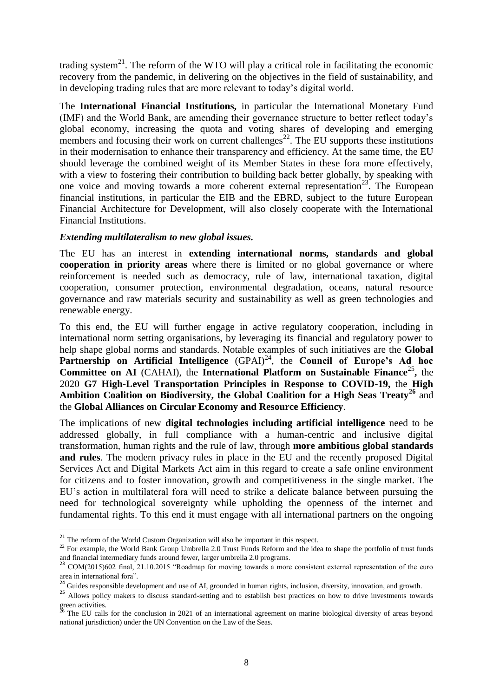trading system<sup>21</sup>. The reform of the WTO will play a critical role in facilitating the economic recovery from the pandemic, in delivering on the objectives in the field of sustainability, and in developing trading rules that are more relevant to today's digital world.

The **International Financial Institutions,** in particular the International Monetary Fund (IMF) and the World Bank, are amending their governance structure to better reflect today's global economy, increasing the quota and voting shares of developing and emerging members and focusing their work on current challenges<sup>22</sup>. The EU supports these institutions in their modernisation to enhance their transparency and efficiency. At the same time, the EU should leverage the combined weight of its Member States in these fora more effectively, with a view to fostering their contribution to building back better globally, by speaking with one voice and moving towards a more coherent external representation<sup>23</sup>. The European financial institutions, in particular the EIB and the EBRD, subject to the future European Financial Architecture for Development, will also closely cooperate with the International Financial Institutions.

#### *Extending multilateralism to new global issues.*

The EU has an interest in **extending international norms, standards and global cooperation in priority areas** where there is limited or no global governance or where reinforcement is needed such as democracy, rule of law, international taxation, digital cooperation, consumer protection, environmental degradation, oceans, natural resource governance and raw materials security and sustainability as well as green technologies and renewable energy.

To this end, the EU will further engage in active regulatory cooperation, including in international norm setting organisations, by leveraging its financial and regulatory power to help shape global norms and standards. Notable examples of such initiatives are the **Global**  Partnership on Artificial Intelligence (GPAI)<sup>24</sup>, the Council of Europe's Ad hoc **Committee on AI** (CAHAI), the **International Platform on Sustainable Finance**<sup>25</sup>, the 2020 **G7 High-Level Transportation Principles in Response to COVID-19,** the **High Ambition Coalition on Biodiversity, the Global Coalition for a High Seas Treaty<sup>26</sup>** and the **Global Alliances on Circular Economy and Resource Efficiency**.

The implications of new **digital technologies including artificial intelligence** need to be addressed globally, in full compliance with a human-centric and inclusive digital transformation, human rights and the rule of law, through **more ambitious global standards and rules**. The modern privacy rules in place in the EU and the recently proposed Digital Services Act and Digital Markets Act aim in this regard to create a safe online environment for citizens and to foster innovation, growth and competitiveness in the single market. The EU's action in multilateral fora will need to strike a delicate balance between pursuing the need for technological sovereignty while upholding the openness of the internet and fundamental rights. To this end it must engage with all international partners on the ongoing

 $21$  The reform of the World Custom Organization will also be important in this respect.

<sup>&</sup>lt;sup>22</sup> For example, the World Bank Group Umbrella 2.0 Trust Funds Reform and the idea to shape the portfolio of trust funds and financial intermediary funds around fewer, larger umbrella 2.0 programs.

<sup>&</sup>lt;sup>23</sup> COM(2015)602 final, 21.10.2015 "Roadmap for moving towards a more consistent external representation of the euro area in international fora".

<sup>24</sup> Guides responsible development and use of AI, grounded in human rights, inclusion, diversity, innovation, and growth.

<sup>&</sup>lt;sup>25</sup> Allows policy makers to discuss standard-setting and to establish best practices on how to drive investments towards green activities.

<sup>26</sup> The EU calls for the conclusion in 2021 of an international agreement on marine biological diversity of areas beyond national jurisdiction) under the UN Convention on the Law of the Seas.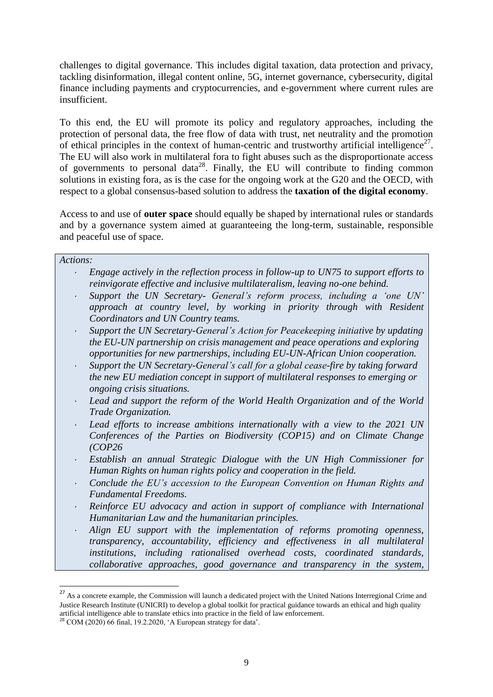challenges to digital governance. This includes digital taxation, data protection and privacy, tackling disinformation, illegal content online, 5G, internet governance, cybersecurity, digital finance including payments and cryptocurrencies, and e-government where current rules are insufficient.

To this end, the EU will promote its policy and regulatory approaches, including the protection of personal data, the free flow of data with trust, net neutrality and the promotion of ethical principles in the context of human-centric and trustworthy artificial intelligence<sup>27</sup>. The EU will also work in multilateral fora to fight abuses such as the disproportionate access of governments to personal data<sup>28</sup>. Finally, the EU will contribute to finding common solutions in existing fora, as is the case for the ongoing work at the G20 and the OECD, with respect to a global consensus-based solution to address the **taxation of the digital economy**.

Access to and use of **outer space** should equally be shaped by international rules or standards and by a governance system aimed at guaranteeing the long-term, sustainable, responsible and peaceful use of space.

## *Actions:*

1

- *Engage actively in the reflection process in follow-up to UN75 to support efforts to reinvigorate effective and inclusive multilateralism, leaving no-one behind.*
- *Support the UN Secretary- General's reform process, including a 'one UN' approach at country level, by working in priority through with Resident Coordinators and UN Country teams.*
- *Support the UN Secretary-General's Action for Peacekeeping initiative by updating the EU-UN partnership on crisis management and peace operations and exploring opportunities for new partnerships, including EU-UN-African Union cooperation.*
- *Support the UN Secretary-General's call for a global cease-fire by taking forward the new EU mediation concept in support of multilateral responses to emerging or ongoing crisis situations.*
- *Lead and support the reform of the World Health Organization and of the World Trade Organization.*
- *Lead efforts to increase ambitions internationally with a view to the 2021 UN Conferences of the Parties on Biodiversity (COP15) and on Climate Change (COP26*
- *Establish an annual Strategic Dialogue with the UN High Commissioner for Human Rights on human rights policy and cooperation in the field.*
- *Conclude the EU's accession to the European Convention on Human Rights and Fundamental Freedoms.*
- *Reinforce EU advocacy and action in support of compliance with International Humanitarian Law and the humanitarian principles.*
- *Align EU support with the implementation of reforms promoting openness, transparency, accountability, efficiency and effectiveness in all multilateral institutions, including rationalised overhead costs, coordinated standards, collaborative approaches, good governance and transparency in the system,*

<sup>&</sup>lt;sup>27</sup> As a concrete example, the Commission will launch a dedicated project with the United Nations Interregional Crime and Justice Research Institute (UNICRI) to develop a global toolkit for practical guidance towards an ethical and high quality artificial intelligence able to translate ethics into practice in the field of law enforcement.

 $^{28}$  COM (2020) 66 final, 19.2.2020, 'A European strategy for data'.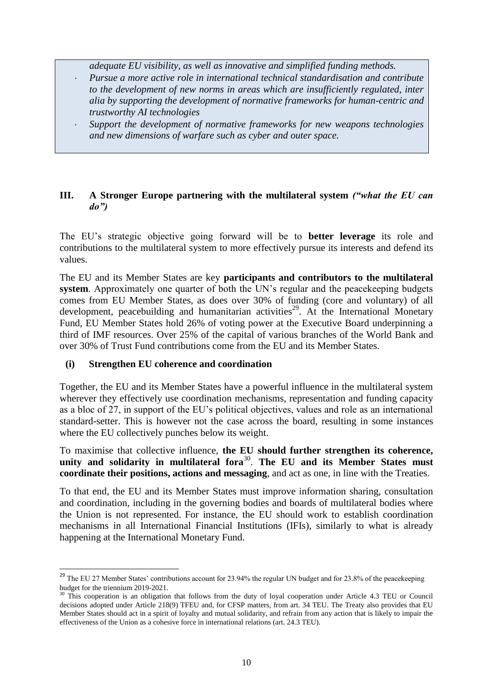*adequate EU visibility, as well as innovative and simplified funding methods.*

- *Pursue a more active role in international technical standardisation and contribute to the development of new norms in areas which are insufficiently regulated, inter alia by supporting the development of normative frameworks for human-centric and trustworthy AI technologies*
- *Support the development of normative frameworks for new weapons technologies and new dimensions of warfare such as cyber and outer space.*

# **III. A Stronger Europe partnering with the multilateral system** *("what the EU can do")*

The EU's strategic objective going forward will be to **better leverage** its role and contributions to the multilateral system to more effectively pursue its interests and defend its values.

The EU and its Member States are key **participants and contributors to the multilateral system**. Approximately one quarter of both the UN's regular and the peacekeeping budgets comes from EU Member States, as does over 30% of funding (core and voluntary) of all development, peacebuilding and humanitarian activities<sup>29</sup>. At the International Monetary Fund, EU Member States hold 26% of voting power at the Executive Board underpinning a third of IMF resources. Over 25% of the capital of various branches of the World Bank and over 30% of Trust Fund contributions come from the EU and its Member States.

# **(i) Strengthen EU coherence and coordination**

**.** 

Together, the EU and its Member States have a powerful influence in the multilateral system wherever they effectively use coordination mechanisms, representation and funding capacity as a bloc of 27, in support of the EU's political objectives, values and role as an international standard-setter. This is however not the case across the board, resulting in some instances where the EU collectively punches below its weight.

To maximise that collective influence, **the EU should further strengthen its coherence,**  unity and solidarity in multilateral fora<sup>30</sup>. The EU and its Member States must **coordinate their positions, actions and messaging**, and act as one, in line with the Treaties.

To that end, the EU and its Member States must improve information sharing, consultation and coordination, including in the governing bodies and boards of multilateral bodies where the Union is not represented. For instance, the EU should work to establish coordination mechanisms in all International Financial Institutions (IFIs), similarly to what is already happening at the International Monetary Fund.

<sup>&</sup>lt;sup>29</sup> The EU 27 Member States' contributions account for 23.94% the regular UN budget and for 23.8% of the peacekeeping budget for the triennium 2019-2021.

<sup>&</sup>lt;sup>30</sup> This cooperation is an obligation that follows from the duty of loyal cooperation under Article 4.3 TEU or Council decisions adopted under Article 218(9) TFEU and, for CFSP matters, from art. 34 TEU. The Treaty also provides that EU Member States should act in a spirit of loyalty and mutual solidarity, and refrain from any action that is likely to impair the effectiveness of the Union as a cohesive force in international relations (art. 24.3 TEU).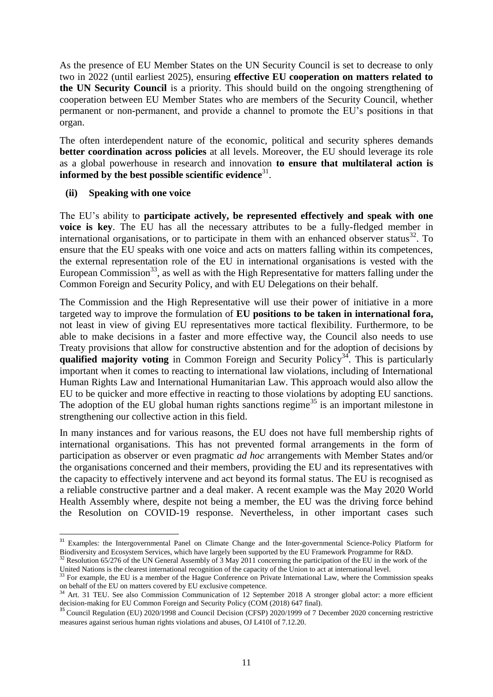As the presence of EU Member States on the UN Security Council is set to decrease to only two in 2022 (until earliest 2025), ensuring **effective EU cooperation on matters related to the UN Security Council** is a priority. This should build on the ongoing strengthening of cooperation between EU Member States who are members of the Security Council, whether permanent or non-permanent, and provide a channel to promote the EU's positions in that organ.

The often interdependent nature of the economic, political and security spheres demands **better coordination across policies** at all levels. Moreover, the EU should leverage its role as a global powerhouse in research and innovation **to ensure that multilateral action is informed by the best possible scientific evidence** 31 .

#### **(ii) Speaking with one voice**

**.** 

The EU's ability to **participate actively, be represented effectively and speak with one voice is key**. The EU has all the necessary attributes to be a fully-fledged member in international organisations, or to participate in them with an enhanced observer status<sup>32</sup>. To ensure that the EU speaks with one voice and acts on matters falling within its competences, the external representation role of the EU in international organisations is vested with the European Commission<sup>33</sup>, as well as with the High Representative for matters falling under the Common Foreign and Security Policy, and with EU Delegations on their behalf.

The Commission and the High Representative will use their power of initiative in a more targeted way to improve the formulation of **EU positions to be taken in international fora,** not least in view of giving EU representatives more tactical flexibility. Furthermore, to be able to make decisions in a faster and more effective way, the Council also needs to use Treaty provisions that allow for constructive abstention and for the adoption of decisions by **qualified majority voting** in Common Foreign and Security Policy<sup>34</sup>. This is particularly important when it comes to reacting to international law violations, including of International Human Rights Law and International Humanitarian Law. This approach would also allow the EU to be quicker and more effective in reacting to those violations by adopting EU sanctions. The adoption of the EU global human rights sanctions regime<sup>35</sup> is an important milestone in strengthening our collective action in this field.

In many instances and for various reasons, the EU does not have full membership rights of international organisations. This has not prevented formal arrangements in the form of participation as observer or even pragmatic *ad hoc* arrangements with Member States and/or the organisations concerned and their members, providing the EU and its representatives with the capacity to effectively intervene and act beyond its formal status. The EU is recognised as a reliable constructive partner and a deal maker. A recent example was the May 2020 World Health Assembly where, despite not being a member, the EU was the driving force behind the Resolution on COVID-19 response. Nevertheless, in other important cases such

<sup>&</sup>lt;sup>31</sup> Examples: the Intergovernmental Panel on Climate Change and the Inter-governmental Science-Policy Platform for Biodiversity and Ecosystem Services, which have largely been supported by the EU Framework Programme for R&D.

<sup>&</sup>lt;sup>32</sup> Resolution 65/276 of the UN General Assembly of 3 May 2011 concerning the participation of the EU in the work of the United Nations is the clearest international recognition of the capacity of the Union to act at international level.

<sup>&</sup>lt;sup>33</sup> For example, the EU is a member of the Hague Conference on Private International Law, where the Commission speaks on behalf of the EU on matters covered by EU exclusive competence.

<sup>34</sup> Art. 31 TEU. See also Commission Communication of 12 September 2018 A stronger global actor: a more efficient decision-making for EU Common Foreign and Security Policy (COM (2018) 647 final).

<sup>&</sup>lt;sup>35</sup> [Council Regulation \(EU\) 2020/1998 and Council Decision \(CFSP\) 2020/1999](https://eur-lex.europa.eu/legal-content/EN/AUTO/?uri=uriserv:OJ.LI.2020.410.01.0001.01.ENG&toc=OJ:L:2020:410I:TOC) of 7 December 2020 concerning restrictive [measures against serious human rights violations and abuses,](https://eur-lex.europa.eu/legal-content/EN/AUTO/?uri=uriserv:OJ.LI.2020.410.01.0001.01.ENG&toc=OJ:L:2020:410I:TOC) OJ L410I of 7.12.20.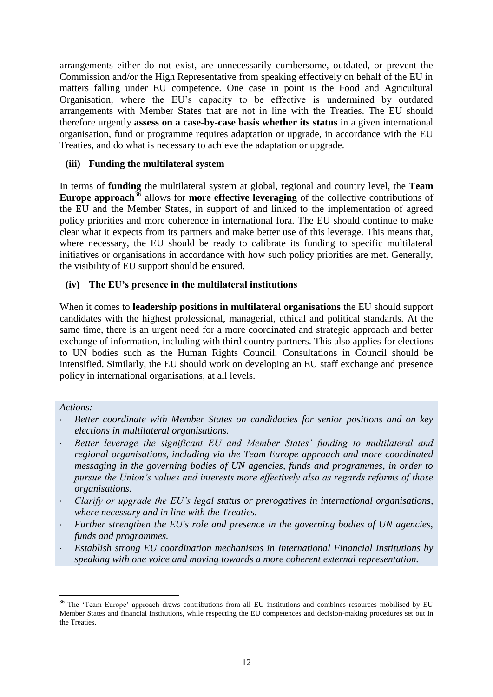arrangements either do not exist, are unnecessarily cumbersome, outdated, or prevent the Commission and/or the High Representative from speaking effectively on behalf of the EU in matters falling under EU competence. One case in point is the Food and Agricultural Organisation, where the EU's capacity to be effective is undermined by outdated arrangements with Member States that are not in line with the Treaties. The EU should therefore urgently **assess on a case-by-case basis whether its status** in a given international organisation, fund or programme requires adaptation or upgrade, in accordance with the EU Treaties, and do what is necessary to achieve the adaptation or upgrade.

# **(iii) Funding the multilateral system**

In terms of **funding** the multilateral system at global, regional and country level, the **Team Europe approach**<sup>36</sup> allows for **more effective leveraging** of the collective contributions of the EU and the Member States, in support of and linked to the implementation of agreed policy priorities and more coherence in international fora. The EU should continue to make clear what it expects from its partners and make better use of this leverage. This means that, where necessary, the EU should be ready to calibrate its funding to specific multilateral initiatives or organisations in accordance with how such policy priorities are met. Generally, the visibility of EU support should be ensured.

# **(iv) The EU's presence in the multilateral institutions**

When it comes to **leadership positions in multilateral organisations** the EU should support candidates with the highest professional, managerial, ethical and political standards. At the same time, there is an urgent need for a more coordinated and strategic approach and better exchange of information, including with third country partners. This also applies for elections to UN bodies such as the Human Rights Council. Consultations in Council should be intensified. Similarly, the EU should work on developing an EU staff exchange and presence policy in international organisations, at all levels.

#### *Actions:*

- *Better coordinate with Member States on candidacies for senior positions and on key elections in multilateral organisations.*
- *Better leverage the significant EU and Member States' funding to multilateral and regional organisations, including via the Team Europe approach and more coordinated messaging in the governing bodies of UN agencies, funds and programmes, in order to pursue the Union's values and interests more effectively also as regards reforms of those organisations.*
- *Clarify or upgrade the EU's legal status or prerogatives in international organisations, where necessary and in line with the Treaties.*
- *Further strengthen the EU's role and presence in the governing bodies of UN agencies, funds and programmes.*
- *Establish strong EU coordination mechanisms in International Financial Institutions by speaking with one voice and moving towards a more coherent external representation.*

<sup>&</sup>lt;sup>36</sup> The 'Team Europe' approach draws contributions from all EU institutions and combines resources mobilised by EU Member States and financial institutions, while respecting the EU competences and decision-making procedures set out in the Treaties.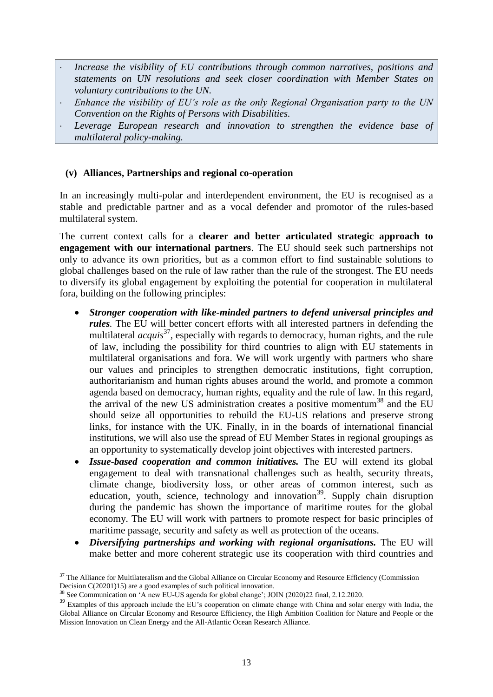- *Increase the visibility of EU contributions through common narratives, positions and statements on UN resolutions and seek closer coordination with Member States on voluntary contributions to the UN.*
- *Enhance the visibility of EU's role as the only Regional Organisation party to the UN Convention on the Rights of Persons with Disabilities.*
- *Leverage European research and innovation to strengthen the evidence base of multilateral policy-making.*

# **(v) Alliances, Partnerships and regional co-operation**

In an increasingly multi-polar and interdependent environment, the EU is recognised as a stable and predictable partner and as a vocal defender and promotor of the rules-based multilateral system.

The current context calls for a **clearer and better articulated strategic approach to engagement with our international partners**. The EU should seek such partnerships not only to advance its own priorities, but as a common effort to find sustainable solutions to global challenges based on the rule of law rather than the rule of the strongest. The EU needs to diversify its global engagement by exploiting the potential for cooperation in multilateral fora, building on the following principles:

- *Stronger cooperation with like-minded partners to defend universal principles and rules.* The EU will better concert efforts with all interested partners in defending the multilateral *acquis*<sup>37</sup> , especially with regards to democracy, human rights, and the rule of law, including the possibility for third countries to align with EU statements in multilateral organisations and fora. We will work urgently with partners who share our values and principles to strengthen democratic institutions, fight corruption, authoritarianism and human rights abuses around the world, and promote a common agenda based on democracy, human rights, equality and the rule of law. In this regard, the arrival of the new US administration creates a positive momentum<sup>38</sup> and the EU should seize all opportunities to rebuild the EU-US relations and preserve strong links, for instance with the UK. Finally, in in the boards of international financial institutions, we will also use the spread of EU Member States in regional groupings as an opportunity to systematically develop joint objectives with interested partners.
- *Issue-based cooperation and common initiatives.* The EU will extend its global engagement to deal with transnational challenges such as health, security threats, climate change, biodiversity loss, or other areas of common interest, such as education, youth, science, technology and innovation<sup>39</sup>. Supply chain disruption during the pandemic has shown the importance of maritime routes for the global economy. The EU will work with partners to promote respect for basic principles of maritime passage, security and safety as well as protection of the oceans.
- *Diversifying partnerships and working with regional organisations.* The EU will make better and more coherent strategic use its cooperation with third countries and

 $37$  The Alliance for Multilateralism and the Global Alliance on Circular Economy and Resource Efficiency (Commission Decision C(20201)15) are a good examples of such political innovation.

<sup>&</sup>lt;sup>8</sup> See Communication on 'A new EU-US agenda for global change'; JOIN (2020)22 final, 2.12.2020.

<sup>&</sup>lt;sup>39</sup> Examples of this approach include the EU's cooperation on climate change with China and solar energy with India, the Global Alliance on Circular Economy and Resource Efficiency, the High Ambition Coalition for Nature and People or the Mission Innovation on Clean Energy and the All-Atlantic Ocean Research Alliance.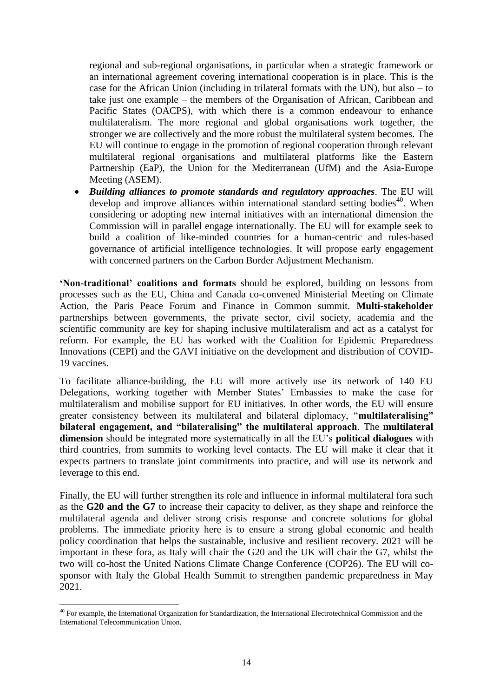regional and sub-regional organisations, in particular when a strategic framework or an international agreement covering international cooperation is in place. This is the case for the African Union (including in trilateral formats with the UN), but also – to take just one example – the members of the Organisation of African, Caribbean and Pacific States (OACPS), with which there is a common endeavour to enhance multilateralism. The more regional and global organisations work together, the stronger we are collectively and the more robust the multilateral system becomes. The EU will continue to engage in the promotion of regional cooperation through relevant multilateral regional organisations and multilateral platforms like the Eastern Partnership (EaP), the Union for the Mediterranean (UfM) and the Asia-Europe Meeting (ASEM).

 *Building alliances to promote standards and regulatory approaches.* The EU will develop and improve alliances within international standard setting bodies<sup>40</sup>. When considering or adopting new internal initiatives with an international dimension the Commission will in parallel engage internationally. The EU will for example seek to build a coalition of like-minded countries for a human-centric and rules-based governance of artificial intelligence technologies. It will propose early engagement with concerned partners on the Carbon Border Adjustment Mechanism.

**'Non-traditional' coalitions and formats** should be explored, building on lessons from processes such as the EU, China and Canada co-convened Ministerial Meeting on Climate Action, the Paris Peace Forum and Finance in Common summit. **Multi-stakeholder**  partnerships between governments, the private sector, civil society, academia and the scientific community are key for shaping inclusive multilateralism and act as a catalyst for reform. For example, the EU has worked with the Coalition for Epidemic Preparedness Innovations (CEPI) and the GAVI initiative on the development and distribution of COVID-19 vaccines.

To facilitate alliance-building, the EU will more actively use its network of 140 EU Delegations, working together with Member States' Embassies to make the case for multilateralism and mobilise support for EU initiatives. In other words, the EU will ensure greater consistency between its multilateral and bilateral diplomacy, "**multilateralising" bilateral engagement, and "bilateralising" the multilateral approach**. The **multilateral dimension** should be integrated more systematically in all the EU's **political dialogues** with third countries, from summits to working level contacts. The EU will make it clear that it expects partners to translate joint commitments into practice, and will use its network and leverage to this end.

Finally, the EU will further strengthen its role and influence in informal multilateral fora such as the **G20 and the G7** to increase their capacity to deliver, as they shape and reinforce the multilateral agenda and deliver strong crisis response and concrete solutions for global problems. The immediate priority here is to ensure a strong global economic and health policy coordination that helps the sustainable, inclusive and resilient recovery. 2021 will be important in these fora, as Italy will chair the G20 and the UK will chair the G7, whilst the two will co-host the United Nations Climate Change Conference (COP26). The EU will cosponsor with Italy the Global Health Summit to strengthen pandemic preparedness in May 2021.

 $\overline{\phantom{a}}$  $40$  For example, the International Organization for Standardization, the International Electrotechnical Commission and the International Telecommunication Union.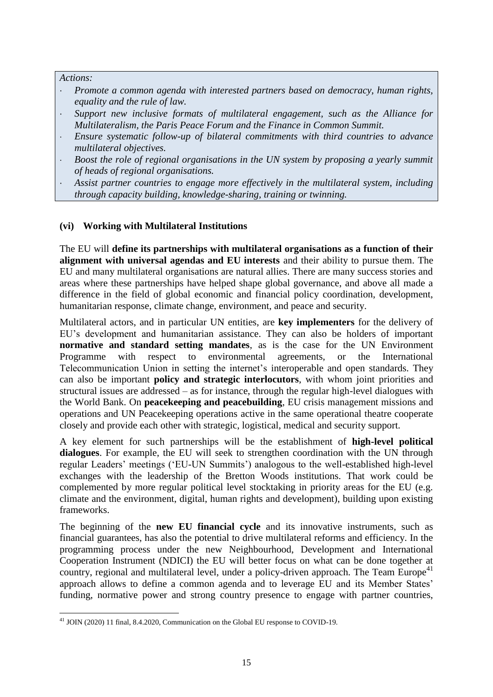*Actions:*

- *Promote a common agenda with interested partners based on democracy, human rights, equality and the rule of law.*
- *Support new inclusive formats of multilateral engagement, such as the Alliance for Multilateralism, the Paris Peace Forum and the Finance in Common Summit.*
- *Ensure systematic follow-up of bilateral commitments with third countries to advance multilateral objectives.*
- *Boost the role of regional organisations in the UN system by proposing a yearly summit of heads of regional organisations.*
- *Assist partner countries to engage more effectively in the multilateral system, including through capacity building, knowledge-sharing, training or twinning.*

# **(vi) Working with Multilateral Institutions**

The EU will **define its partnerships with multilateral organisations as a function of their alignment with universal agendas and EU interests** and their ability to pursue them. The EU and many multilateral organisations are natural allies. There are many success stories and areas where these partnerships have helped shape global governance, and above all made a difference in the field of global economic and financial policy coordination, development, humanitarian response, climate change, environment, and peace and security.

Multilateral actors, and in particular UN entities, are **key implementers** for the delivery of EU's development and humanitarian assistance. They can also be holders of important **normative and standard setting mandates**, as is the case for the UN Environment Programme with respect to environmental agreements, or the International Telecommunication Union in setting the internet's interoperable and open standards. They can also be important **policy and strategic interlocutors**, with whom joint priorities and structural issues are addressed – as for instance, through the regular high-level dialogues with the World Bank. On **peacekeeping and peacebuilding**, EU crisis management missions and operations and UN Peacekeeping operations active in the same operational theatre cooperate closely and provide each other with strategic, logistical, medical and security support.

A key element for such partnerships will be the establishment of **high-level political dialogues**. For example, the EU will seek to strengthen coordination with the UN through regular Leaders' meetings ('EU-UN Summits') analogous to the well-established high-level exchanges with the leadership of the Bretton Woods institutions. That work could be complemented by more regular political level stocktaking in priority areas for the EU (e.g. climate and the environment, digital, human rights and development), building upon existing frameworks.

The beginning of the **new EU financial cycle** and its innovative instruments, such as financial guarantees, has also the potential to drive multilateral reforms and efficiency. In the programming process under the new Neighbourhood, Development and International Cooperation Instrument (NDICI) the EU will better focus on what can be done together at country, regional and multilateral level, under a policy-driven approach. The Team Europe<sup>41</sup> approach allows to define a common agenda and to leverage EU and its Member States' funding, normative power and strong country presence to engage with partner countries,

**<sup>.</sup>** <sup>41</sup> JOIN (2020) 11 final, 8.4.2020, Communication on the Global EU response to COVID-19.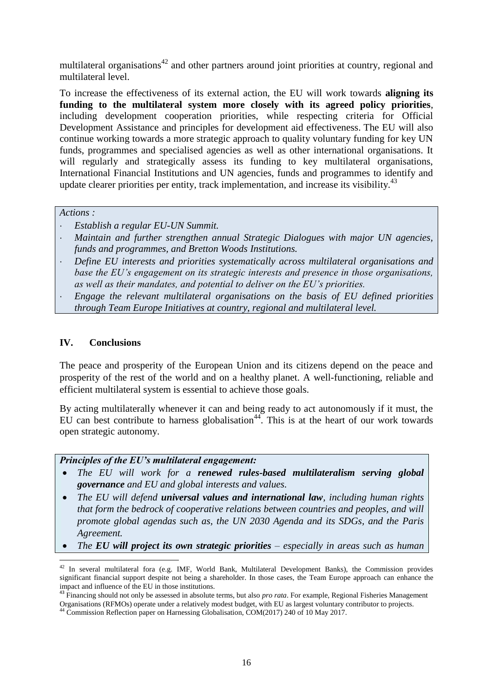multilateral organisations<sup>42</sup> and other partners around joint priorities at country, regional and multilateral level.

To increase the effectiveness of its external action, the EU will work towards **aligning its funding to the multilateral system more closely with its agreed policy priorities**, including development cooperation priorities, while respecting criteria for Official Development Assistance and principles for development aid effectiveness. The EU will also continue working towards a more strategic approach to quality voluntary funding for key UN funds, programmes and specialised agencies as well as other international organisations. It will regularly and strategically assess its funding to key multilateral organisations, International Financial Institutions and UN agencies, funds and programmes to identify and update clearer priorities per entity, track implementation, and increase its visibility. $43$ 

*Actions :*

- *Establish a regular EU-UN Summit.*
- *Maintain and further strengthen annual Strategic Dialogues with major UN agencies, funds and programmes, and Bretton Woods Institutions.*
- *Define EU interests and priorities systematically across multilateral organisations and base the EU's engagement on its strategic interests and presence in those organisations, as well as their mandates, and potential to deliver on the EU's priorities.*

 *Engage the relevant multilateral organisations on the basis of EU defined priorities through Team Europe Initiatives at country, regional and multilateral level.*

#### **IV. Conclusions**

1

The peace and prosperity of the European Union and its citizens depend on the peace and prosperity of the rest of the world and on a healthy planet. A well-functioning, reliable and efficient multilateral system is essential to achieve those goals.

By acting multilaterally whenever it can and being ready to act autonomously if it must, the EU can best contribute to harness globalisation<sup>44</sup>. This is at the heart of our work towards open strategic autonomy.

#### *Principles of the EU's multilateral engagement:*

- *The EU will work for a renewed rules-based multilateralism serving global governance and EU and global interests and values.*
- *The EU will defend universal values and international law, including human rights that form the bedrock of cooperative relations between countries and peoples, and will promote global agendas such as, the UN 2030 Agenda and its SDGs, and the Paris Agreement.*
- *The EU will project its own strategic priorities – especially in areas such as human*

 $42$  In several multilateral fora (e.g. IMF, World Bank, Multilateral Development Banks), the Commission provides significant financial support despite not being a shareholder. In those cases, the Team Europe approach can enhance the impact and influence of the EU in those institutions.

<sup>43</sup> Financing should not only be assessed in absolute terms, but also *pro rata*. For example, Regional Fisheries Management Organisations (RFMOs) operate under a relatively modest budget, with EU as largest voluntary contributor to projects.

<sup>44</sup> Commission Reflection paper on Harnessing Globalisation, COM(2017) 240 of 10 May 2017.